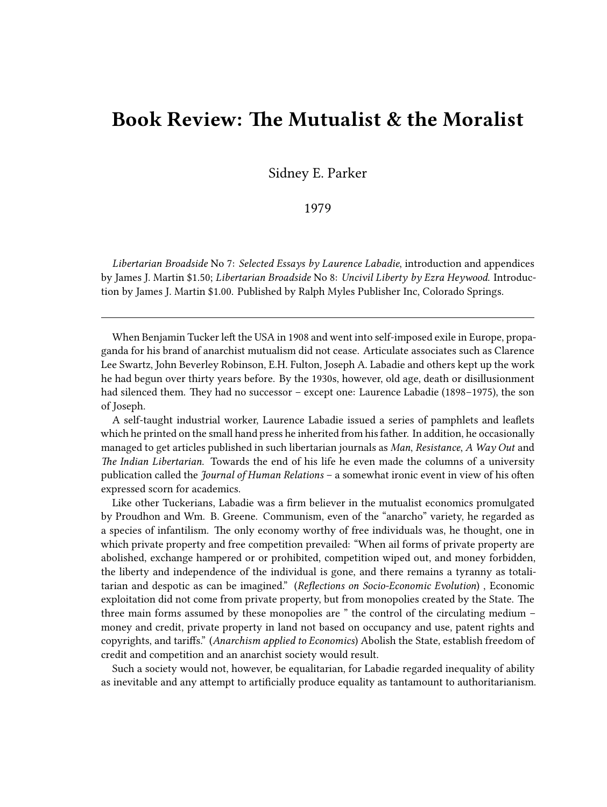## **Book Review: The Mutualist & the Moralist**

Sidney E. Parker

## 1979

*Libertarian Broadside* No 7: *Selected Essays by Laurence Labadie*, introduction and appendices by James J. Martin \$1.50; *Libertarian Broadside* No 8: *Uncivil Liberty by Ezra Heywood*. Introduction by James J. Martin \$1.00. Published by Ralph Myles Publisher Inc, Colorado Springs.

When Benjamin Tucker left the USA in 1908 and went into self-imposed exile in Europe, propaganda for his brand of anarchist mutualism did not cease. Articulate associates such as Clarence Lee Swartz, John Beverley Robinson, E.H. Fulton, Joseph A. Labadie and others kept up the work he had begun over thirty years before. By the 1930s, however, old age, death or disillusionment had silenced them. They had no successor – except one: Laurence Labadie (1898–1975), the son of Joseph.

A self-taught industrial worker, Laurence Labadie issued a series of pamphlets and leaflets which he printed on the small hand press he inherited from his father. In addition, he occasionally managed to get articles published in such libertarian journals as *Man*, *Resistance*, *A Way Out* and *The Indian Libertarian*. Towards the end of his life he even made the columns of a university publication called the *Journal of Human Relations* – a somewhat ironic event in view of his often expressed scorn for academics.

Like other Tuckerians, Labadie was a firm believer in the mutualist economics promulgated by Proudhon and Wm. B. Greene. Communism, even of the "anarcho" variety, he regarded as a species of infantilism. The only economy worthy of free individuals was, he thought, one in which private property and free competition prevailed: "When ail forms of private property are abolished, exchange hampered or or prohibited, competition wiped out, and money forbidden, the liberty and independence of the individual is gone, and there remains a tyranny as totalitarian and despotic as can be imagined." (*Reflections on Socio-Economic Evolution*) , Economic exploitation did not come from private property, but from monopolies created by the State. The three main forms assumed by these monopolies are " the control of the circulating medium – money and credit, private property in land not based on occupancy and use, patent rights and copyrights, and tariffs." (*Anarchism applied to Economics*) Abolish the State, establish freedom of credit and competition and an anarchist society would result.

Such a society would not, however, be equalitarian, for Labadie regarded inequality of ability as inevitable and any attempt to artificially produce equality as tantamount to authoritarianism.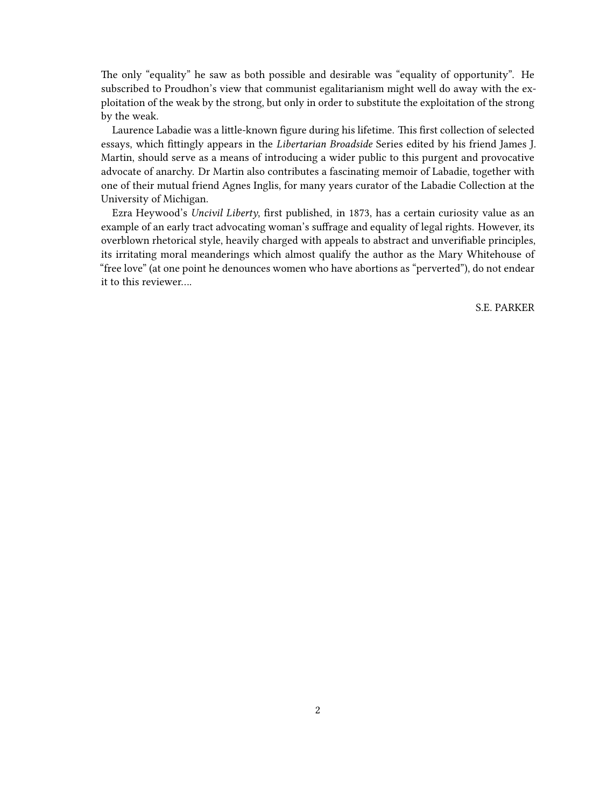The only "equality" he saw as both possible and desirable was "equality of opportunity". He subscribed to Proudhon's view that communist egalitarianism might well do away with the exploitation of the weak by the strong, but only in order to substitute the exploitation of the strong by the weak.

Laurence Labadie was a little-known figure during his lifetime. This first collection of selected essays, which fittingly appears in the *Libertarian Broadside* Series edited by his friend James J. Martin, should serve as a means of introducing a wider public to this purgent and provocative advocate of anarchy. Dr Martin also contributes a fascinating memoir of Labadie, together with one of their mutual friend Agnes Inglis, for many years curator of the Labadie Collection at the University of Michigan.

Ezra Heywood's *Uncivil Liberty*, first published, in 1873, has a certain curiosity value as an example of an early tract advocating woman's suffrage and equality of legal rights. However, its overblown rhetorical style, heavily charged with appeals to abstract and unverifiable principles, its irritating moral meanderings which almost qualify the author as the Mary Whitehouse of "free love" (at one point he denounces women who have abortions as "perverted"), do not endear it to this reviewer….

S.E. PARKER